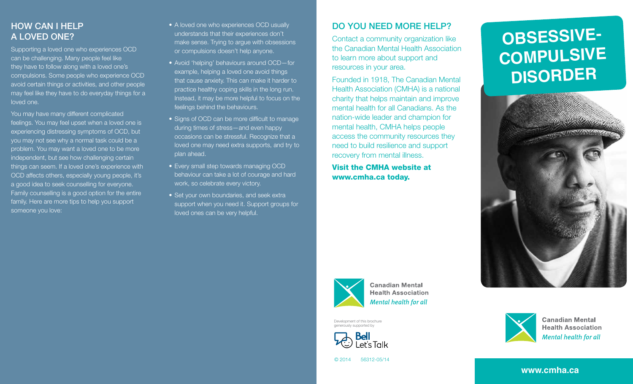## How can I help a loved one?

Supporting a loved one who experiences OCD can be challenging. Many people feel like they have to follow along with a loved one's compulsions. Some people who experience OCD avoid certain things or activities, and other people may feel like they have to do everyday things for a loved one.

You may have many different complicated feelings. You may feel upset when a loved one is experiencing distressing symptoms of OCD, but you may not see why a normal task could be a problem. You may want a loved one to be more independent, but see how challenging certain things can seem. If a loved one's experience with OCD affects others, especially young people, it's a good idea to seek counselling for everyone. Family counselling is a good option for the entire family. Here are more tips to help you support someone you love:

- A loved one who experiences OCD usually understands that their experiences don't make sense. Trying to argue with obsessions or compulsions doesn't help anyone.
- Avoid 'helping' behaviours around OCD-for example, helping a loved one avoid things that cause anxiety. This can make it harder to practice healthy coping skills in the long run. Instead, it may be more helpful to focus on the feelings behind the behaviours.
- Signs of OCD can be more difficult to manage during times of stress—and even happy occasions can be stressful. Recognize that a loved one may need extra supports, and try to plan ahead.
- Every small step towards managing OCD behaviour can take a lot of courage and hard work, so celebrate every victory.
- Set your own boundaries, and seek extra support when you need it. Support groups for loved ones can be very helpful.

# Do you need more help?

Contact a community organization like the Canadian Mental Health Association to learn more about support and resources in your area.

Founded in 1918, The Canadian Mental Health Association (CMHA) is a national charity that helps maintain and improve mental health for all Canadians. As the nation-wide leader and champion for mental health, CMHA helps people access the community resources they need to build resilience and support recovery from mental illness.

> **Canadian Mental Health Association Mental health for all**

Visit the CMHA website at www.cmha.ca today.







**Canadian Mental Health Association** Mental health for all

```
© 2014 56312-05/14
```
**Bell** 

Development of this brochure generously supported by

**www.cmha.ca**